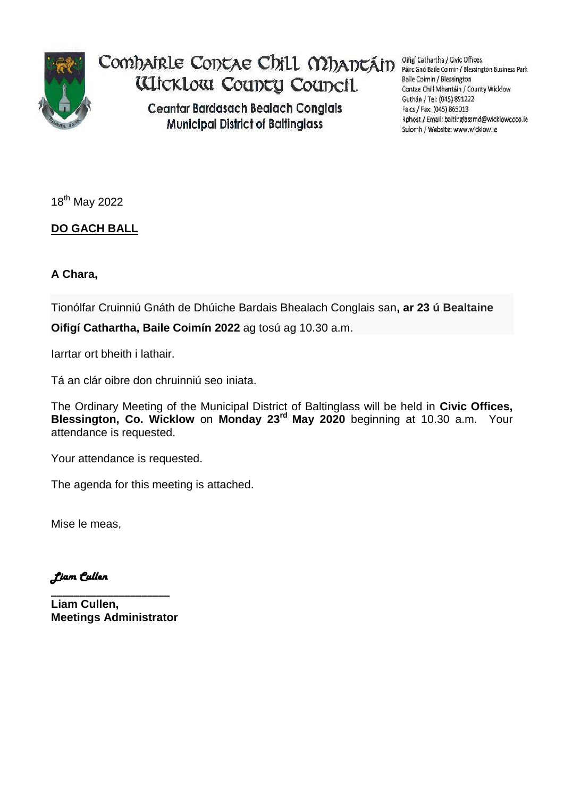

Comhairle Contae Chill Mhantáin **WickLow County Council** 

> **Ceantar Bardasach Bealach Conglais Municipal District of Baltinglass**

Oifigí Cathartha / Civic Offices Páirc Gnó Baile Coimin / Blessington Business Park Baile Coimin / Blessington Contae Chill Mhantáin / County Wicklow Guthán / Tel: (045) 891222 Faics / Fax: (045) 865013 Rphost / Email: baltinglassmd@wicklowcoco.ie Suíomh / Website: www.wicklow.ie

18<sup>th</sup> May 2022

## **DO GACH BALL**

## **A Chara,**

Tionólfar Cruinniú Gnáth de Dhúiche Bardais Bhealach Conglais san**, ar 23 ú Bealtaine**

**Oifigí Cathartha, Baile Coimín 2022** ag tosú ag 10.30 a.m.

Iarrtar ort bheith i lathair.

Tá an clár oibre don chruinniú seo iniata.

The Ordinary Meeting of the Municipal District of Baltinglass will be held in **Civic Offices, Blessington, Co. Wicklow** on **Monday 23rd May 2020** beginning at 10.30 a.m. Your attendance is requested.

Your attendance is requested.

The agenda for this meeting is attached.

Mise le meas,

*Liam Cullen* 

**\_\_\_\_\_\_\_\_\_\_\_\_\_\_\_\_\_\_\_\_\_ Liam Cullen, Meetings Administrator**